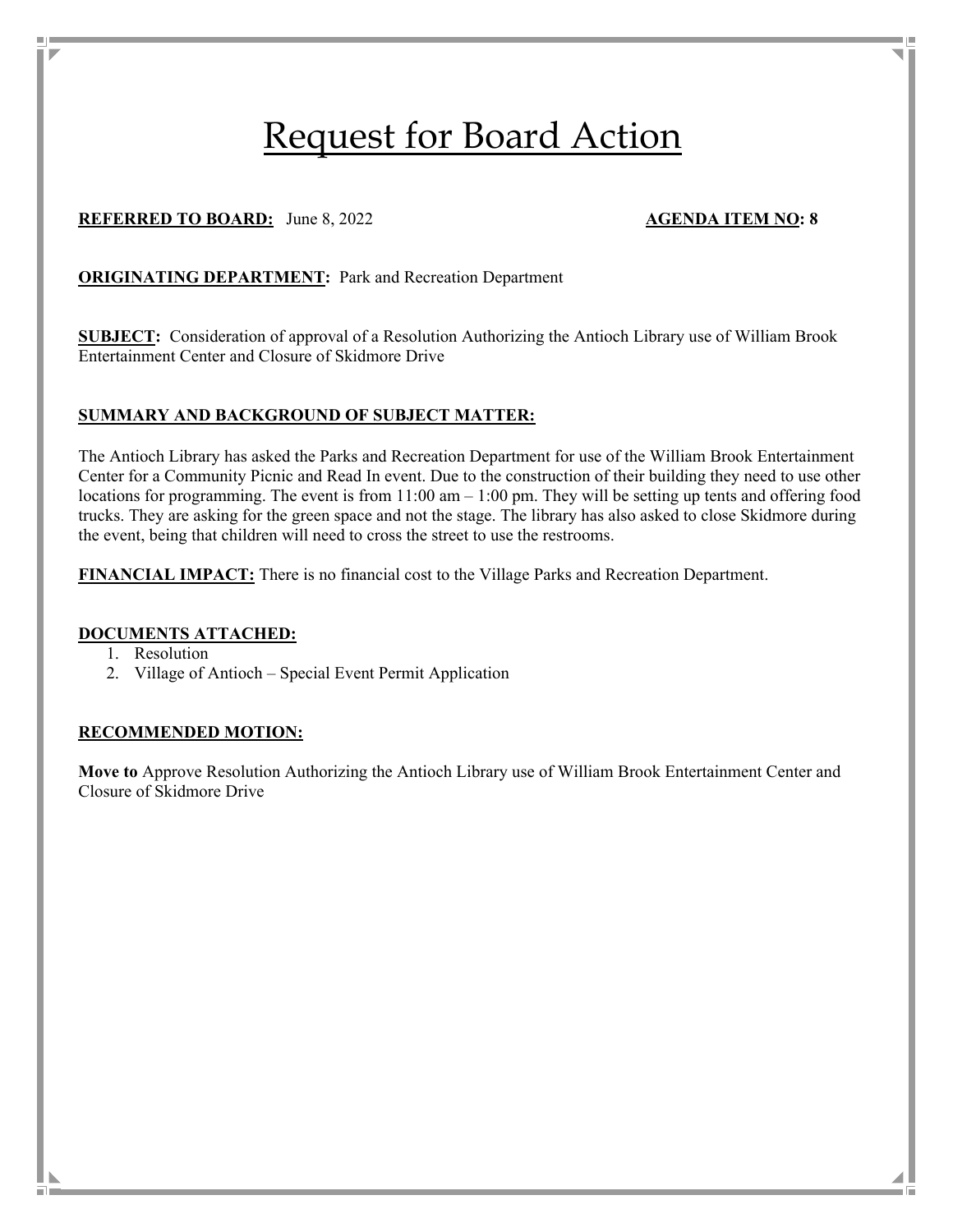# Request for Board Action

# **REFERRED TO BOARD:** June 8, 2022 **AGENDA ITEM NO: 8**

#### **ORIGINATING DEPARTMENT:** Park and Recreation Department

**SUBJECT:** Consideration of approval of a Resolution Authorizing the Antioch Library use of William Brook Entertainment Center and Closure of Skidmore Drive

#### **SUMMARY AND BACKGROUND OF SUBJECT MATTER:**

The Antioch Library has asked the Parks and Recreation Department for use of the William Brook Entertainment Center for a Community Picnic and Read In event. Due to the construction of their building they need to use other locations for programming. The event is from 11:00 am – 1:00 pm. They will be setting up tents and offering food trucks. They are asking for the green space and not the stage. The library has also asked to close Skidmore during the event, being that children will need to cross the street to use the restrooms.

**FINANCIAL IMPACT:** There is no financial cost to the Village Parks and Recreation Department.

#### **DOCUMENTS ATTACHED:**

- 1. Resolution
- 2. Village of Antioch Special Event Permit Application

#### **RECOMMENDED MOTION:**

**Move to** Approve Resolution Authorizing the Antioch Library use of William Brook Entertainment Center and Closure of Skidmore Drive